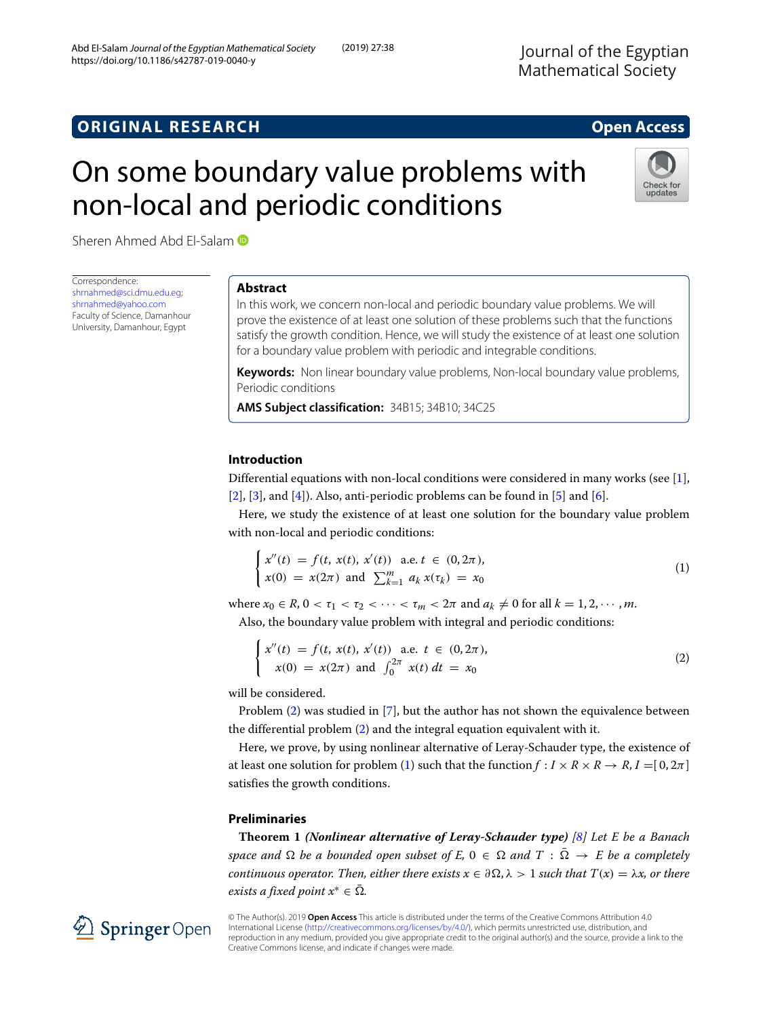# On some boundary value problems with non-local and periodic conditions



Sheren Ahmed Abd El-Salam D

Correspondence: [shrnahmed@sci.dmu.edu.eg;](mailto: shrnahmed@sci.dmu.edu.eg) [shrnahmed@yahoo.com](mailto: shrnahmed@yahoo.com) Faculty of Science, Damanhour University, Damanhour, Egypt

# **Abstract**

In this work, we concern non-local and periodic boundary value problems. We will prove the existence of at least one solution of these problems such that the functions satisfy the growth condition. Hence, we will study the existence of at least one solution for a boundary value problem with periodic and integrable conditions.

**Keywords:** Non linear boundary value problems, Non-local boundary value problems, Periodic conditions

**AMS Subject classification:** 34B15; 34B10; 34C25

# **Introduction**

Differential equations with non-local conditions were considered in many works (see [\[1\]](#page-7-0),  $[2]$ ,  $[3]$ , and  $[4]$ ). Also, anti-periodic problems can be found in  $[5]$  and  $[6]$ .

Here, we study the existence of at least one solution for the boundary value problem with non-local and periodic conditions:

<span id="page-0-1"></span>
$$
\begin{cases}\n x''(t) = f(t, x(t), x'(t)) \text{ a.e. } t \in (0, 2\pi), \\
x(0) = x(2\pi) \text{ and } \sum_{k=1}^{m} a_k x(\tau_k) = x_0\n\end{cases}
$$
\n(1)

where  $x_0 \in R$ ,  $0 < \tau_1 < \tau_2 < \cdots < \tau_m < 2\pi$  and  $a_k \neq 0$  for all  $k = 1, 2, \cdots, m$ .

Also, the boundary value problem with integral and periodic conditions:

<span id="page-0-0"></span>
$$
\begin{cases}\n x''(t) = f(t, x(t), x'(t)) \text{ a.e. } t \in (0, 2\pi), \\
x(0) = x(2\pi) \text{ and } \int_0^{2\pi} x(t) dt = x_0\n\end{cases}
$$
\n(2)

will be considered.

Problem [\(2\)](#page-0-0) was studied in [\[7\]](#page-7-6), but the author has not shown the equivalence between the differential problem [\(2\)](#page-0-0) and the integral equation equivalent with it.

Here, we prove, by using nonlinear alternative of Leray-Schauder type, the existence of at least one solution for problem [\(1\)](#page-0-1) such that the function  $f : I \times R \times R \rightarrow R$ ,  $I = [0, 2\pi]$ satisfies the growth conditions.

# **Preliminaries**

<span id="page-0-2"></span>**Theorem 1** *(Nonlinear alternative of Leray-Schauder type) [\[8\]](#page-7-7) Let E be a Banach space and*  $\Omega$  *be a bounded open subset of E*,  $0 \in \Omega$  *and*  $T : \overline{\Omega} \to E$  *be a completely continuous operator. Then, either there exists*  $x \in \partial\Omega$ ,  $\lambda > 1$  *such that*  $T(x) = \lambda x$ , or there *exists a fixed point*  $x^* \in \overline{\Omega}$ *.* 

© The Author(s). 2019 **Open Access** This article is distributed under the terms of the Creative Commons Attribution 4.0 International License [\(http://creativecommons.org/licenses/by/4.0/\)](http://creativecommons.org/licenses/by/4.0/), which permits unrestricted use, distribution, and reproduction in any medium, provided you give appropriate credit to the original author(s) and the source, provide a link to the Creative Commons license, and indicate if changes were made.

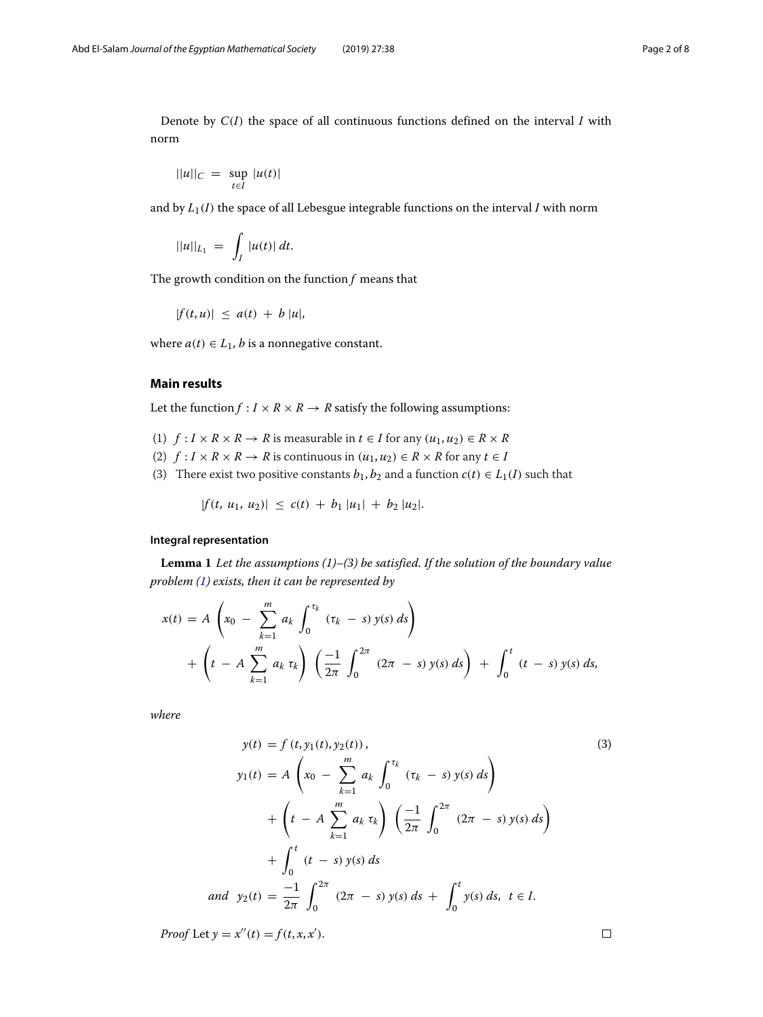Denote by *C*(*I*) the space of all continuous functions defined on the interval *I* with norm

$$
||u||_C = \sup_{t \in I} |u(t)|
$$

and by  $L_1(I)$  the space of all Lebesgue integrable functions on the interval  $I$  with norm

$$
||u||_{L_1} = \int_I |u(t)| dt.
$$

The growth condition on the function *f* means that

$$
|f(t, u)| \leq a(t) + b |u|,
$$

where  $a(t) \in L_1$ , *b* is a nonnegative constant.

# **Main results**

Let the function  $f: I \times R \times R \rightarrow R$  satisfy the following assumptions:

- (1)  $f: I \times R \times R \rightarrow R$  is measurable in  $t \in I$  for any  $(u_1, u_2) \in R \times R$
- (2)  $f: I \times R \times R \to R$  is continuous in  $(u_1, u_2) \in R \times R$  for any  $t \in I$
- (3) There exist two positive constants  $b_1$ ,  $b_2$  and a function  $c(t) \in L_1(I)$  such that

 $|f(t, u_1, u_2)| \leq c(t) + b_1 |u_1| + b_2 |u_2|$ .

# **Integral representation**

**Lemma 1** *Let the assumptions (1)–(3) be satisfied. If the solution of the boundary value problem [\(1\)](#page-0-1) exists, then it can be represented by*

$$
x(t) = A \left( x_0 - \sum_{k=1}^m a_k \int_0^{\tau_k} (\tau_k - s) y(s) ds \right) + \left( t - A \sum_{k=1}^m a_k \tau_k \right) \left( \frac{-1}{2\pi} \int_0^{2\pi} (2\pi - s) y(s) ds \right) + \int_0^t (t - s) y(s) ds,
$$

*where*

<span id="page-1-0"></span>
$$
y(t) = f(t, y_1(t), y_2(t)),
$$
\n
$$
y_1(t) = A\left(x_0 - \sum_{k=1}^m a_k \int_0^{\tau_k} (\tau_k - s) y(s) ds\right)
$$
\n
$$
+ \left(t - A \sum_{k=1}^m a_k \tau_k\right) \left(\frac{-1}{2\pi} \int_0^{2\pi} (2\pi - s) y(s) ds\right)
$$
\n
$$
+ \int_0^t (t - s) y(s) ds
$$
\nand  $y_2(t) = \frac{-1}{2\pi} \int_0^{2\pi} (2\pi - s) y(s) ds + \int_0^t y(s) ds, t \in I.$ \n
$$
(3)
$$

*Proof* Let  $y = x''(t) = f(t, x, x')$ .

 $\Box$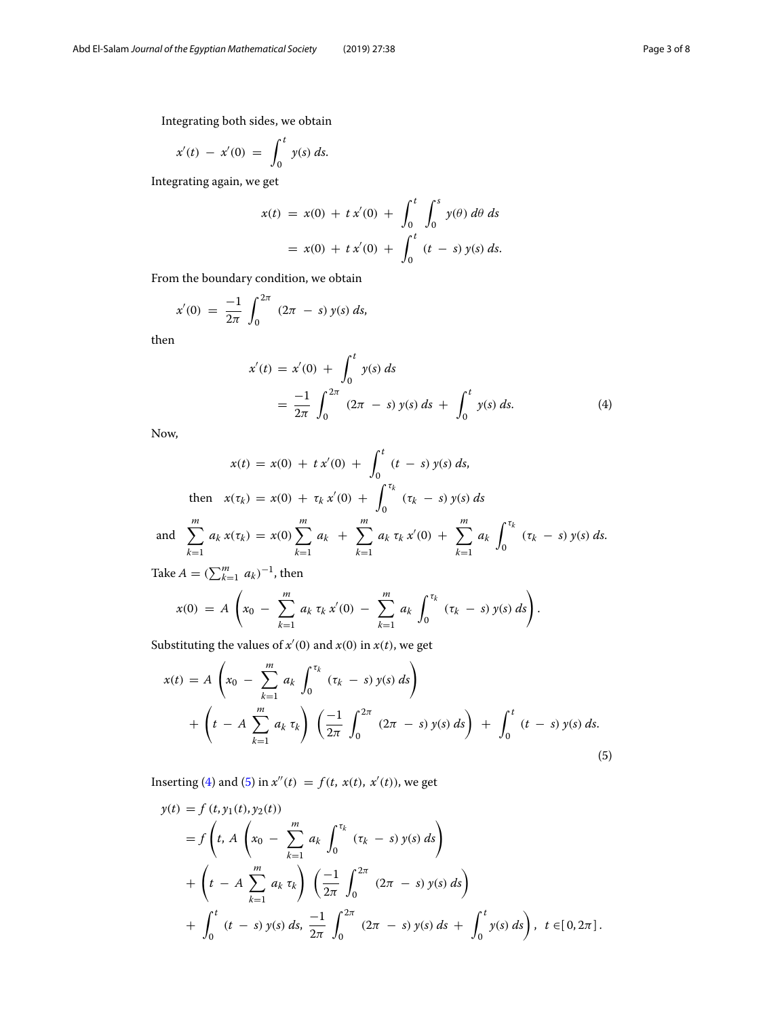Integrating both sides, we obtain

$$
x'(t) - x'(0) = \int_0^t y(s) \, ds.
$$

Integrating again, we get

$$
x(t) = x(0) + tx'(0) + \int_0^t \int_0^s y(\theta) d\theta ds
$$
  
=  $x(0) + tx'(0) + \int_0^t (t - s) y(s) ds.$ 

From the boundary condition, we obtain

$$
x'(0) = \frac{-1}{2\pi} \int_0^{2\pi} (2\pi - s) y(s) ds,
$$

then

<span id="page-2-0"></span>
$$
x'(t) = x'(0) + \int_0^t y(s) ds
$$
  
=  $\frac{-1}{2\pi} \int_0^{2\pi} (2\pi - s) y(s) ds + \int_0^t y(s) ds.$  (4)

Now,

$$
x(t) = x(0) + tx'(0) + \int_0^t (t - s) y(s) ds,
$$
  
then  $x(\tau_k) = x(0) + \tau_k x'(0) + \int_0^{\tau_k} (\tau_k - s) y(s) ds$   
and 
$$
\sum_{k=1}^m a_k x(\tau_k) = x(0) \sum_{k=1}^m a_k + \sum_{k=1}^m a_k \tau_k x'(0) + \sum_{k=1}^m a_k \int_0^{\tau_k} (\tau_k - s) y(s) ds.
$$

Take  $A = (\sum_{k=1}^{m} a_k)^{-1}$ , then

$$
x(0) = A \left( x_0 - \sum_{k=1}^m a_k \, \tau_k \, x'(0) - \sum_{k=1}^m a_k \, \int_0^{\tau_k} \, (\tau_k - s) \, y(s) \, ds \right).
$$

Substituting the values of  $x'(0)$  and  $x(0)$  in  $x(t)$ , we get

<span id="page-2-1"></span>
$$
x(t) = A \left( x_0 - \sum_{k=1}^m a_k \int_0^{\tau_k} (\tau_k - s) y(s) ds \right)
$$
  
+ 
$$
\left( t - A \sum_{k=1}^m a_k \tau_k \right) \left( \frac{-1}{2\pi} \int_0^{2\pi} (2\pi - s) y(s) ds \right) + \int_0^t (t - s) y(s) ds.
$$
 (5)

Inserting [\(4\)](#page-2-0) and [\(5\)](#page-2-1) in  $x''(t) = f(t, x(t), x'(t))$ , we get

$$
y(t) = f(t, y_1(t), y_2(t))
$$
  
=  $f\left(t, A\left(x_0 - \sum_{k=1}^m a_k \int_0^{\tau_k} (\tau_k - s) y(s) ds\right) + \left(t - A \sum_{k=1}^m a_k \tau_k\right) \left(\frac{-1}{2\pi} \int_0^{2\pi} (2\pi - s) y(s) ds\right) + \int_0^t (t - s) y(s) ds, \frac{-1}{2\pi} \int_0^{2\pi} (2\pi - s) y(s) ds + \int_0^t y(s) ds\right), t \in [0, 2\pi].$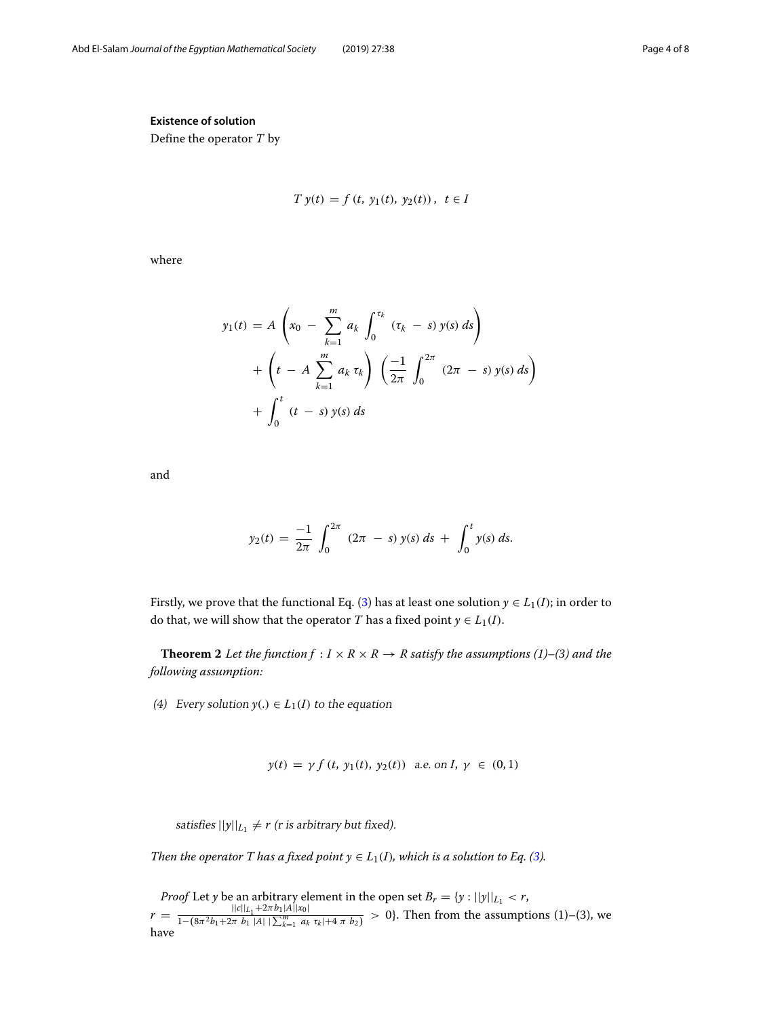# **Existence of solution**

Define the operator *T* by

$$
T y(t) = f(t, y_1(t), y_2(t)), t \in I
$$

where

$$
y_1(t) = A \left( x_0 - \sum_{k=1}^m a_k \int_0^{\tau_k} (\tau_k - s) y(s) ds \right)
$$
  
+ 
$$
\left( t - A \sum_{k=1}^m a_k \tau_k \right) \left( \frac{-1}{2\pi} \int_0^{2\pi} (2\pi - s) y(s) ds \right)
$$
  
+ 
$$
\int_0^t (t - s) y(s) ds
$$

and

$$
y_2(t) = \frac{-1}{2\pi} \int_0^{2\pi} (2\pi - s) y(s) ds + \int_0^t y(s) ds.
$$

Firstly, we prove that the functional Eq. [\(3\)](#page-1-0) has at least one solution  $y \in L_1(I)$ ; in order to do that, we will show that the operator *T* has a fixed point  $y \in L_1(I)$ .

<span id="page-3-0"></span>**Theorem 2** *Let the function*  $f: I \times R \times R \rightarrow R$  *satisfy the assumptions* (1)–(3) *and the following assumption:*

(4) Every solution  $y(.) \in L_1(I)$  to the equation

$$
y(t) = \gamma f(t, y_1(t), y_2(t))
$$
 a.e. on  $I, \gamma \in (0, 1)$ 

satisfies  $||y||_{L_1} \neq r$  (*r* is arbitrary but fixed).

*Then the operator T has a fixed point*  $y \in L_1(I)$ *, which is a solution to Eq. [\(3\)](#page-1-0).* 

*Proof* Let *y* be an arbitrary element in the open set  $B_r = \{y : ||y||_{L_1} < r$ ,

<span id="page-3-1"></span> $r = \frac{||c||_{L_1} + 2\pi b_1|A||x_0|}{1-(8\pi^2 b_1 + 2\pi b_1|A||\sum_{k=1}^m a_k \tau_k|+4\pi b_2)} > 0$ . Then from the assumptions (1)–(3), we have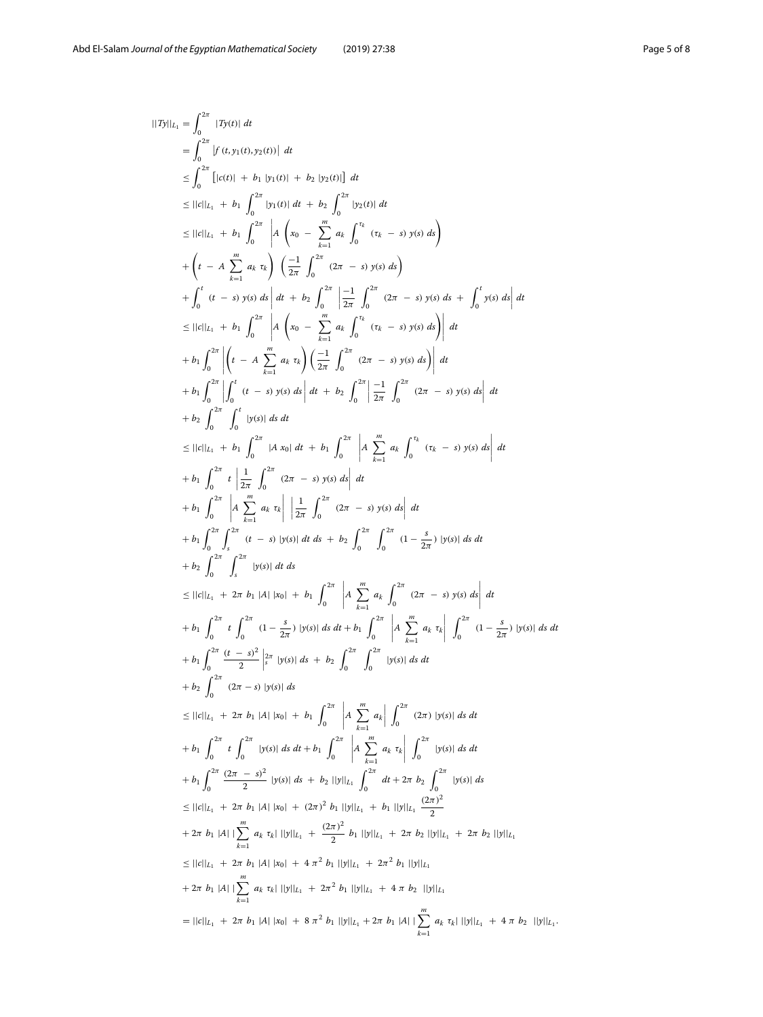$$
||7y||_{L_{1}} = \int_{0}^{2\pi} |f(t,y)(t)| dt
$$
\n
$$
\leq \int_{0}^{2\pi} |f(t,y)(t)-g(t)| dt
$$
\n
$$
\leq |f(t)| + b_{1} |f(t)| + b_{2} |f(t)| dt
$$
\n
$$
\leq ||t||_{L_{1}} + b_{1} \int_{0}^{2\pi} |y_{1}(t)| dt + b_{2} \int_{0}^{2\pi} |y_{2}(t)| dt
$$
\n
$$
\leq ||t||_{L_{1}} + b_{1} \int_{0}^{2\pi} |A| \left(\frac{x_{0}}{x_{0}} - \sum_{k=1}^{m} a_{k} \int_{0}^{t_{k}} (x_{k} - s) y(s) ds\right)
$$
\n
$$
+ \left(t - A \sum_{k=1}^{m} a_{k} x_{k}\right) \left(\frac{-1}{2\pi} \int_{0}^{2\pi} (2\pi - s) y(s) ds\right)
$$
\n
$$
+ \int_{0}^{t} (t - s) y(s) ds \left| dt + b_{2} \int_{0}^{2\pi} \left| \frac{-1}{2\pi} \int_{0}^{2\pi} (2\pi - s) y(s) ds + \int_{0}^{t} y(s) ds \right| dt
$$
\n
$$
\leq ||t||_{L_{1}} + b_{1} \int_{0}^{2\pi} \left| \left(t - A \sum_{k=1}^{m} a_{k} x_{k}\right) \left(\frac{-1}{2\pi} \int_{0}^{2\pi} (2\pi - s) y(s) ds\right) \right| dt
$$
\n
$$
+ b_{1} \int_{0}^{2\pi} \left| \left(t - A \sum_{k=1}^{m} a_{k} x_{k}\right) \left(\frac{-1}{2\pi} \int_{0}^{2\pi} (2\pi - s) y(s) ds\right) \right| dt
$$
\n
$$
+ b_{2} \int_{0}^{2\pi} \left| \left(t - A \sum_{k=1}^{m} a_{k} x_{k}\right| \left(\frac{-1}{2\pi} \int_{0}^{2\pi} (2\pi - s) y(s) ds\right) \right| dt
$$
\n
$$
+ b_{2} \int_{0}^{2\pi} \left| \left(t - A \sum_{k=1}^{m} a_{k} x_{k}\right| \
$$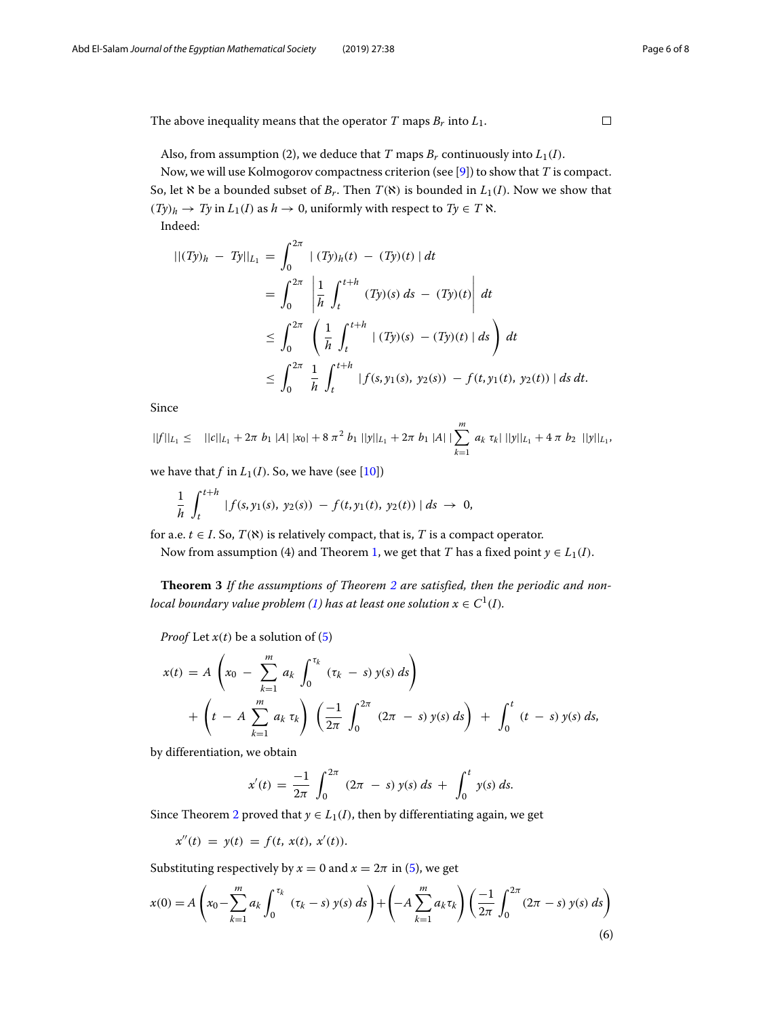The above inequality means that the operator *T* maps  $B_r$  into  $L_1$ .

Also, from assumption (2), we deduce that *T* maps  $B_r$  continuously into  $L_1(I)$ .

Now, we will use Kolmogorov compactness criterion (see [\[9\]](#page-7-8)) to show that *T* is compact. So, let  $\aleph$  be a bounded subset of  $B_r$ . Then  $T(\aleph)$  is bounded in  $L_1(I)$ . Now we show that  $(Ty)_h \rightarrow Ty$  in  $L_1(I)$  as  $h \rightarrow 0$ , uniformly with respect to  $Ty \in T \; \aleph$ . Indeed:

$$
|| (Ty)_h - Ty||_{L_1} = \int_0^{2\pi} | (Ty)_h(t) - (Ty)(t) | dt
$$
  
=  $\int_0^{2\pi} \left| \frac{1}{h} \int_t^{t+h} (Ty)(s) ds - (Ty)(t) \right| dt$   
 $\leq \int_0^{2\pi} \left( \frac{1}{h} \int_t^{t+h} | (Ty)(s) - (Ty)(t) | ds \right) dt$   
 $\leq \int_0^{2\pi} \frac{1}{h} \int_t^{t+h} | f(s, y_1(s), y_2(s)) - f(t, y_1(t), y_2(t)) | ds dt.$ 

Since

$$
||f||_{L_1} \leq ||c||_{L_1} + 2\pi b_1 |A| |x_0| + 8 \pi^2 b_1 ||y||_{L_1} + 2\pi b_1 |A| |\sum_{k=1}^m a_k \tau_k| ||y||_{L_1} + 4 \pi b_2 ||y||_{L_1},
$$

we have that  $f$  in  $L_1(I)$ . So, we have (see [\[10\]](#page-7-9))

$$
\frac{1}{h}\int_{t}^{t+h} |f(s,y_1(s), y_2(s)) - f(t,y_1(t), y_2(t))| ds \to 0,
$$

for a.e.  $t \in I$ . So,  $T(\aleph)$  is relatively compact, that is, *T* is a compact operator.

Now from assumption (4) and Theorem [1,](#page-0-2) we get that *T* has a fixed point  $y \in L_1(I)$ .

**Theorem 3** *If the assumptions of Theorem [2](#page-3-0) are satisfied, then the periodic and non-local boundary value problem [\(1\)](#page-0-1)* has at least one solution  $x \in C^1(I)$ .

*Proof* Let  $x(t)$  be a solution of  $(5)$ 

$$
x(t) = A \left( x_0 - \sum_{k=1}^m a_k \int_0^{\tau_k} (\tau_k - s) y(s) ds \right) + \left( t - A \sum_{k=1}^m a_k \tau_k \right) \left( \frac{-1}{2\pi} \int_0^{2\pi} (2\pi - s) y(s) ds \right) + \int_0^t (t - s) y(s) ds,
$$

by differentiation, we obtain

$$
x'(t) = \frac{-1}{2\pi} \int_0^{2\pi} (2\pi - s) y(s) ds + \int_0^t y(s) ds.
$$

Since Theorem [2](#page-3-0) proved that  $y \in L_1(I)$ , then by differentiating again, we get

$$
x''(t) = y(t) = f(t, x(t), x'(t)).
$$

Substituting respectively by  $x = 0$  and  $x = 2\pi$  in [\(5\)](#page-2-1), we get

$$
x(0) = A\left(x_0 - \sum_{k=1}^m a_k \int_0^{\tau_k} (\tau_k - s) y(s) ds\right) + \left(-A\sum_{k=1}^m a_k \tau_k\right) \left(\frac{-1}{2\pi} \int_0^{2\pi} (2\pi - s) y(s) ds\right)
$$
(6)

 $\Box$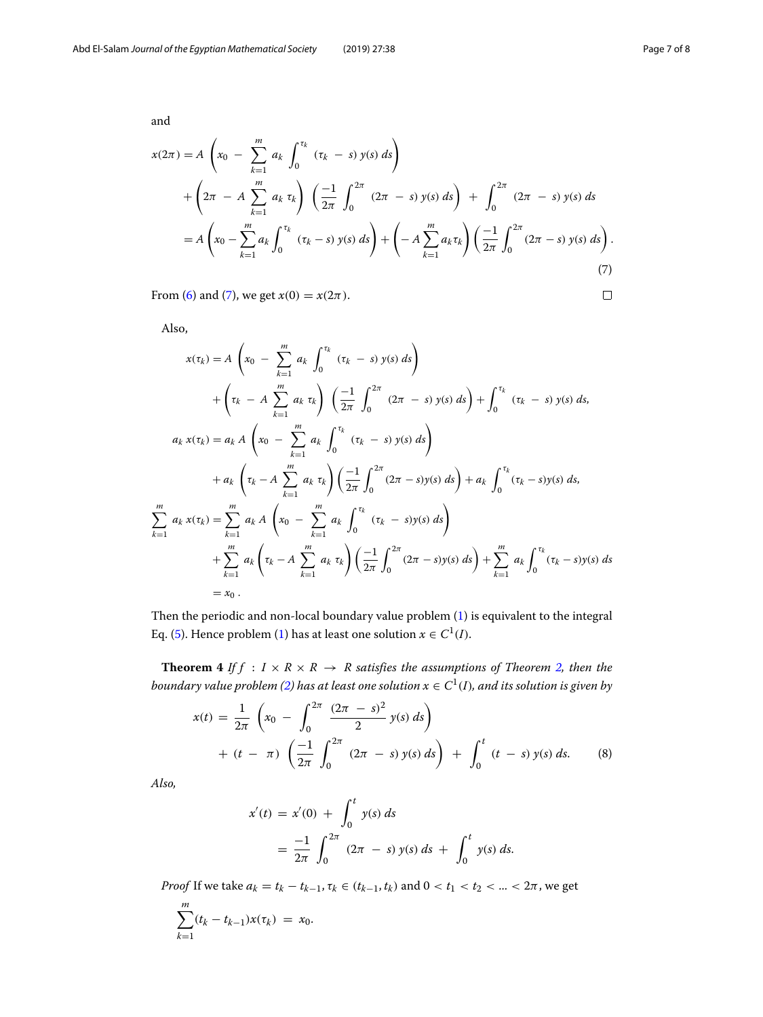$\Box$ 

<span id="page-6-0"></span>and

$$
x(2\pi) = A \left( x_0 - \sum_{k=1}^m a_k \int_0^{\tau_k} (\tau_k - s) y(s) ds \right)
$$
  
+ 
$$
\left( 2\pi - A \sum_{k=1}^m a_k \tau_k \right) \left( \frac{-1}{2\pi} \int_0^{2\pi} (2\pi - s) y(s) ds \right) + \int_0^{2\pi} (2\pi - s) y(s) ds
$$
  
= 
$$
A \left( x_0 - \sum_{k=1}^m a_k \int_0^{\tau_k} (\tau_k - s) y(s) ds \right) + \left( -A \sum_{k=1}^m a_k \tau_k \right) \left( \frac{-1}{2\pi} \int_0^{2\pi} (2\pi - s) y(s) ds \right).
$$
  
(7)

From [\(6\)](#page-3-1) and [\(7\)](#page-6-0), we get  $x(0) = x(2\pi)$ .

<span id="page-6-1"></span>Also,

$$
x(\tau_k) = A \left( x_0 - \sum_{k=1}^m a_k \int_0^{\tau_k} (\tau_k - s) y(s) ds \right)
$$
  
+  $\left( \tau_k - A \sum_{k=1}^m a_k \tau_k \right) \left( \frac{-1}{2\pi} \int_0^{2\pi} (2\pi - s) y(s) ds \right) + \int_0^{\tau_k} (\tau_k - s) y(s) ds,$   
 $a_k x(\tau_k) = a_k A \left( x_0 - \sum_{k=1}^m a_k \int_0^{\tau_k} (\tau_k - s) y(s) ds \right)$   
+  $a_k \left( \tau_k - A \sum_{k=1}^m a_k \tau_k \right) \left( \frac{-1}{2\pi} \int_0^{2\pi} (2\pi - s) y(s) ds \right) + a_k \int_0^{\tau_k} (\tau_k - s) y(s) ds,$   
 $\sum_{k=1}^m a_k x(\tau_k) = \sum_{k=1}^m a_k A \left( x_0 - \sum_{k=1}^m a_k \int_0^{\tau_k} (\tau_k - s) y(s) ds \right)$   
+  $\sum_{k=1}^m a_k \left( \tau_k - A \sum_{k=1}^m a_k \tau_k \right) \left( \frac{-1}{2\pi} \int_0^{2\pi} (2\pi - s) y(s) ds \right) + \sum_{k=1}^m a_k \int_0^{\tau_k} (\tau_k - s) y(s) ds$   
=  $x_0$ .

Then the periodic and non-local boundary value problem [\(1\)](#page-0-1) is equivalent to the integral Eq. [\(5\)](#page-2-1). Hence problem [\(1\)](#page-0-1) has at least one solution  $x \in C^1(I)$ .

**Theorem 4** *If f* :  $I \times R \times R \rightarrow R$  *satisfies the assumptions of Theorem [2,](#page-3-0) then the boundary value problem [\(2\)](#page-0-0) has at least one solution*  $x \in C^1(I)$ *, and its solution is given by* 

$$
x(t) = \frac{1}{2\pi} \left( x_0 - \int_0^{2\pi} \frac{(2\pi - s)^2}{2} y(s) ds \right) + (t - \pi) \left( \frac{-1}{2\pi} \int_0^{2\pi} (2\pi - s) y(s) ds \right) + \int_0^t (t - s) y(s) ds.
$$
 (8)

*Also,*

$$
x'(t) = x'(0) + \int_0^t y(s) ds
$$
  
=  $\frac{-1}{2\pi} \int_0^{2\pi} (2\pi - s) y(s) ds + \int_0^t y(s) ds.$ 

*Proof* If we take  $a_k = t_k - t_{k-1}, \tau_k \in (t_{k-1}, t_k)$  and  $0 < t_1 < t_2 < ... < 2\pi$ , we get

$$
\sum_{k=1}^{m} (t_k - t_{k-1}) x(\tau_k) = x_0.
$$